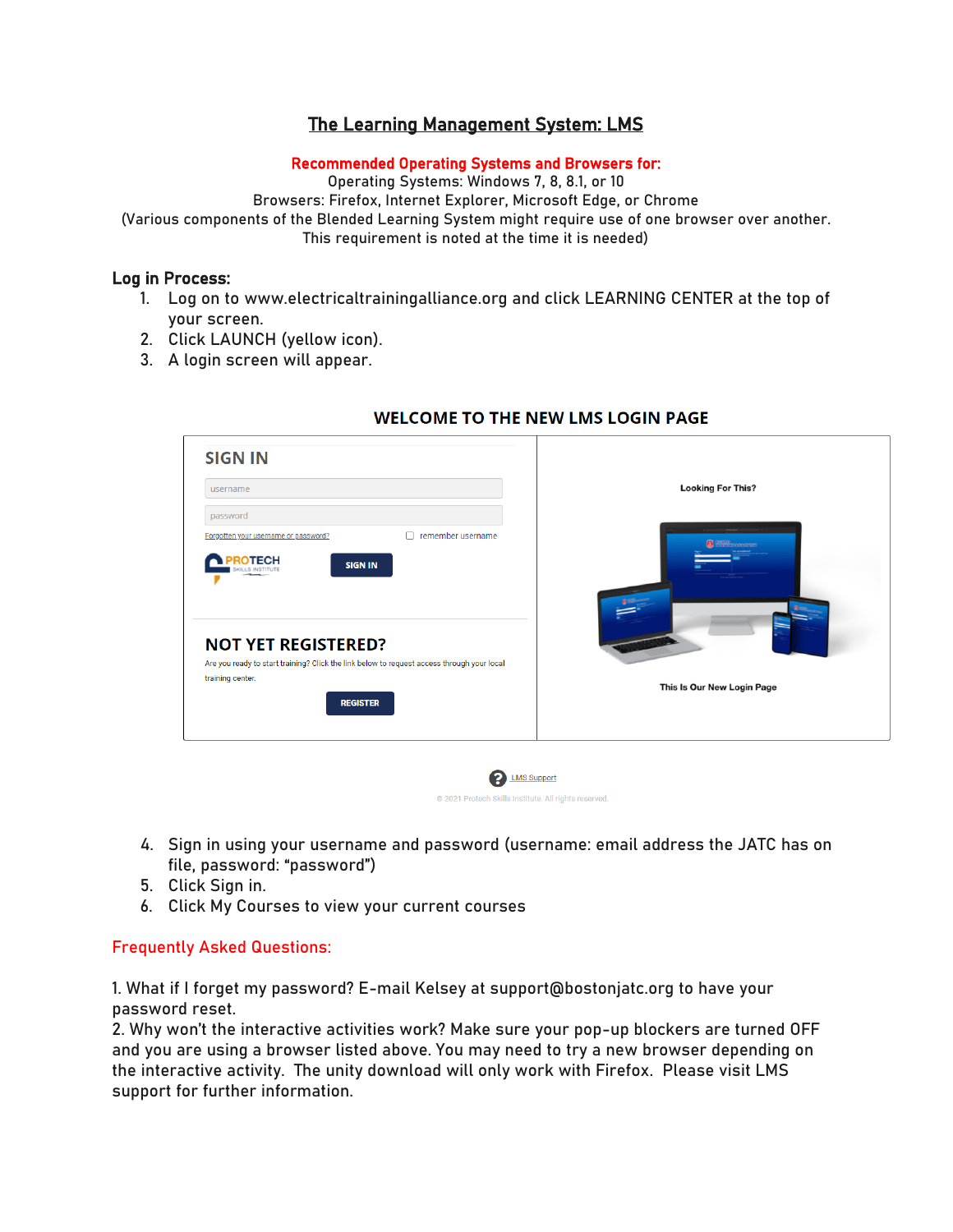# The Learning Management System: LMS

#### Recommended Operating Systems and Browsers for:

Operating Systems: Windows 7, 8, 8.1, or 10

Browsers: Firefox, Internet Explorer, Microsoft Edge, or Chrome

(Various components of the Blended Learning System might require use of one browser over another. This requirement is noted at the time it is needed)

#### Log in Process:

- 1. Log on to www.electricaltrainingalliance.org and click LEARNING CENTER at the top of your screen.
- 2. Click LAUNCH (yellow icon).
- 3. A login screen will appear.

| <b>SIGN IN</b><br>username                                                                                                                                      | <b>Looking For This?</b>   |
|-----------------------------------------------------------------------------------------------------------------------------------------------------------------|----------------------------|
| password<br>remember username<br>Forgotten your username or password?<br>ROTECH<br><b>SIGN IN</b>                                                               | <b>O</b> SUNTE LEARNING    |
| <b>NOT YET REGISTERED?</b><br>Are you ready to start training? Click the link below to request access through your local<br>training center.<br><b>REGISTER</b> | This Is Our New Login Page |

## **WELCOME TO THE NEW LMS LOGIN PAGE**

4. Sign in using your username and password (username: email address the JATC has on file, password: "password")

@ 2021 Protech Skills Institute, All rights reserved.

- 5. Click Sign in.
- 6. Click My Courses to view your current courses

### Frequently Asked Questions:

1. What if I forget my password? E-mail Kelsey at support@bostonjatc.org to have your password reset.

2. Why won't the interactive activities work? Make sure your pop-up blockers are turned OFF and you are using a browser listed above. You may need to try a new browser depending on the interactive activity. The unity download will only work with Firefox. Please visit LMS support for further information.